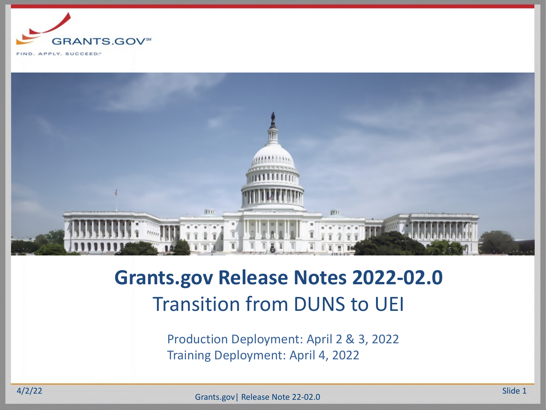



## **Grants.gov Release Notes 2022-02.0** Transition from DUNS to UEI

Production Deployment: April 2 & 3, 2022 Training Deployment: April 4, 2022

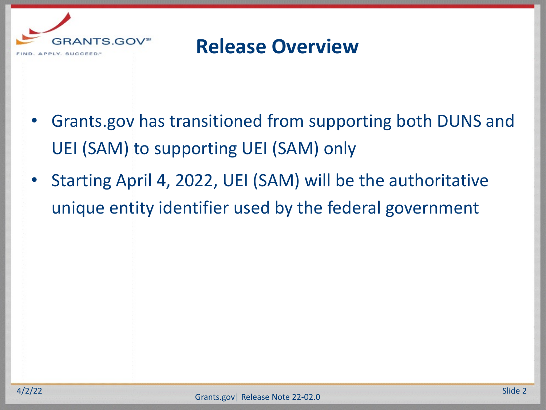

### **Release Overview**

- Grants.gov has transitioned from supporting both DUNS and UEI (SAM) to supporting UEI (SAM) only
- Starting April 4, 2022, UEI (SAM) will be the authoritative unique entity identifier used by the federal government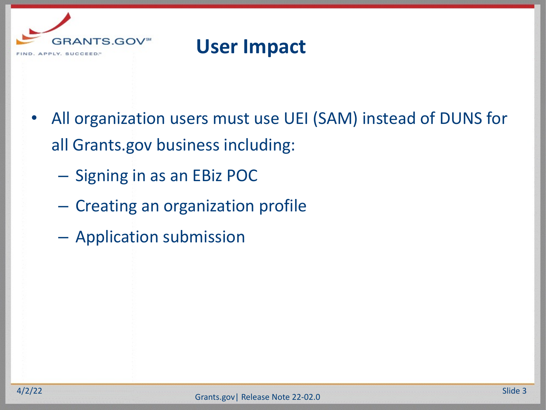

### **User Impact**

- All organization users must use UEI (SAM) instead of DUNS for all Grants.gov business including:
	- Signing in as an EBiz POC
	- Creating an organization profile
	- Application submission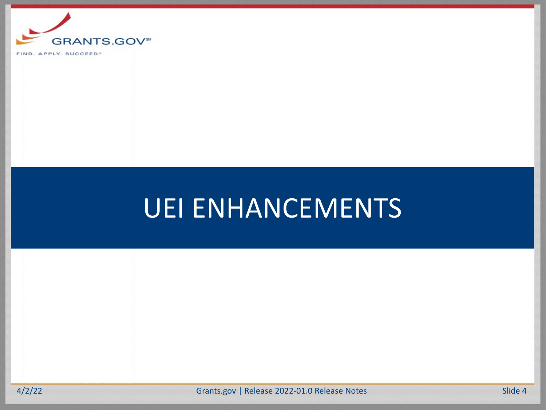

APPLY, SUCCEED." **FIND** 

# UEI ENHANCEMENTS

A/2/22 Grants.gov | Release 2022-01.0 Release Notes Slide 4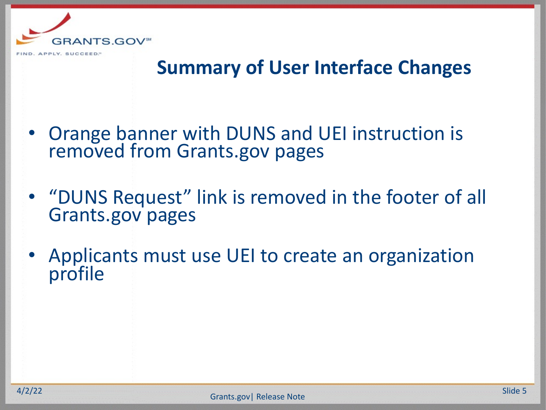

#### **Summary of User Interface Changes**

- Orange banner with DUNS and UEI instruction is removed from Grants.gov pages
- "DUNS Request" link is removed in the footer of all Grants.gov pages
- Applicants must use UEI to create an organization profile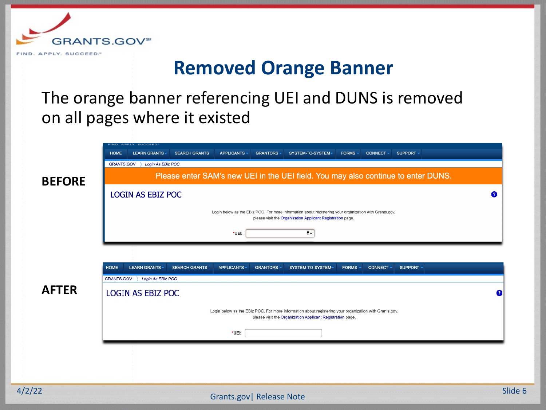

#### **Removed Orange Banner**

The orange banner referencing UEI and DUNS is removed on all pages where it existed

|               | FIND. APPLY. SUCCEED."                                                                                                                                                       |           |
|---------------|------------------------------------------------------------------------------------------------------------------------------------------------------------------------------|-----------|
|               | <b>LEARN GRANTS</b><br>SUPPORT -<br><b>HOME</b><br><b>SEARCH GRANTS</b><br>APPLICANTS -<br><b>GRANTORS -</b><br>SYSTEM-TO-SYSTEM-<br>FORMS -<br>CONNECT -                    |           |
|               | <b>GRANTS.GOV</b><br>Login As EBiz POC                                                                                                                                       |           |
| <b>BEFORE</b> | Please enter SAM's new UEI in the UEI field. You may also continue to enter DUNS.                                                                                            |           |
|               | <b>LOGIN AS EBIZ POC</b>                                                                                                                                                     | 2         |
|               | Login below as the EBiz POC. For more information about registering your organization with Grants.gov,<br>please visit the Organization Applicant Registration page.         |           |
|               | $\bullet$<br>*UEI:                                                                                                                                                           |           |
|               |                                                                                                                                                                              |           |
|               |                                                                                                                                                                              |           |
|               | <b>HOME</b><br><b>LEARN GRANTS-</b><br><b>SEARCH GRANTS</b><br><b>APPLICANTS -</b><br><b>GRANTORS -</b><br><b>FORMS</b><br>SUPPORT -<br>SYSTEM-TO-SYSTEM<br><b>CONNECT -</b> |           |
|               | <b>GRANTS.GOV</b><br>Login As EBiz POC                                                                                                                                       |           |
| <b>AFTER</b>  | <b>LOGIN AS EBIZ POC</b>                                                                                                                                                     | $\bullet$ |
|               | Login below as the EBiz POC. For more information about registering your organization with Grants.gov,<br>please visit the Organization Applicant Registration page.         |           |
|               | *UEI:                                                                                                                                                                        |           |
|               |                                                                                                                                                                              |           |
|               |                                                                                                                                                                              |           |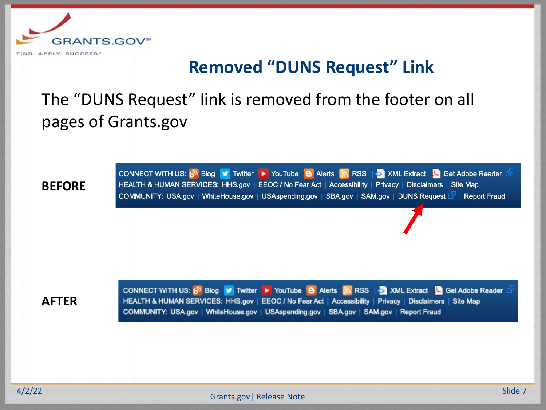

#### **Removed "DUNS Request" Link**

The "DUNS Request" link is removed from the footer on all pages of Grants.gov

**BEFORE**

CONNECT WITH US: N Blog V Twitter YouTube B Alerts N RSS | XML Extract C Get Adobe Reader HEALTH & HUMAN SERVICES: HHS.gov | EEOC / No Fear Act | Accessibility | Privacy | Disclaimers | Site Map COMMUNITY: USA.gov | WhiteHouse.gov | USAspending.gov | SBA.gov | SAM.gov | DUNS Request S | Report Fraud

**AFTER**

CONNECT WITH US: b Blog V Twitter ▶ YouTube B Alerts N RSS | XML Extract A Get Adobe Reader HEALTH & HUMAN SERVICES: HHS.gov | EEOC / No Fear Act | Accessibility | Privacy | Disclaimers | Site Map COMMUNITY: USA.gov | WhiteHouse.gov | USAspending.gov | SBA.gov | SAM.gov | Report Fraud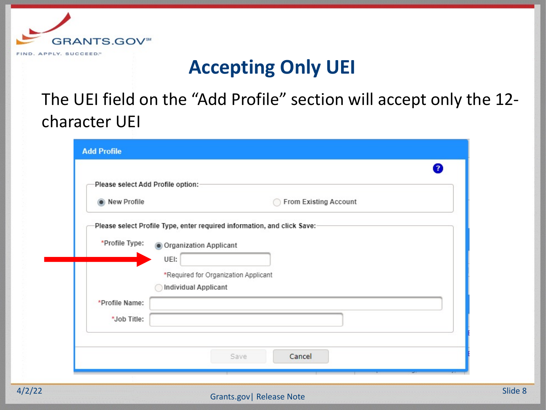

### **Accepting Only UEI**

The UEI field on the "Add Profile" section will accept only the 12 character UEI

|                | Please select Add Profile option:-                                       |
|----------------|--------------------------------------------------------------------------|
|                |                                                                          |
| New Profile    | From Existing Account                                                    |
|                |                                                                          |
|                | Please select Profile Type, enter required information, and click Save:- |
| *Profile Type: | Organization Applicant                                                   |
|                | UEI:                                                                     |
|                | *Required for Organization Applicant                                     |
|                | Individual Applicant                                                     |
|                |                                                                          |
|                |                                                                          |
| *Profile Name: |                                                                          |
| *Job Title:    |                                                                          |
|                |                                                                          |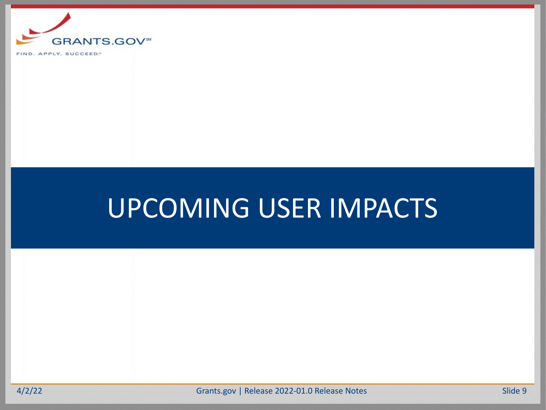

APPLY, SUCCEED." **FIND** 

# UPCOMING USER IMPACTS

A/2/22 Grants.gov | Release 2022-01.0 Release Notes Slide 9